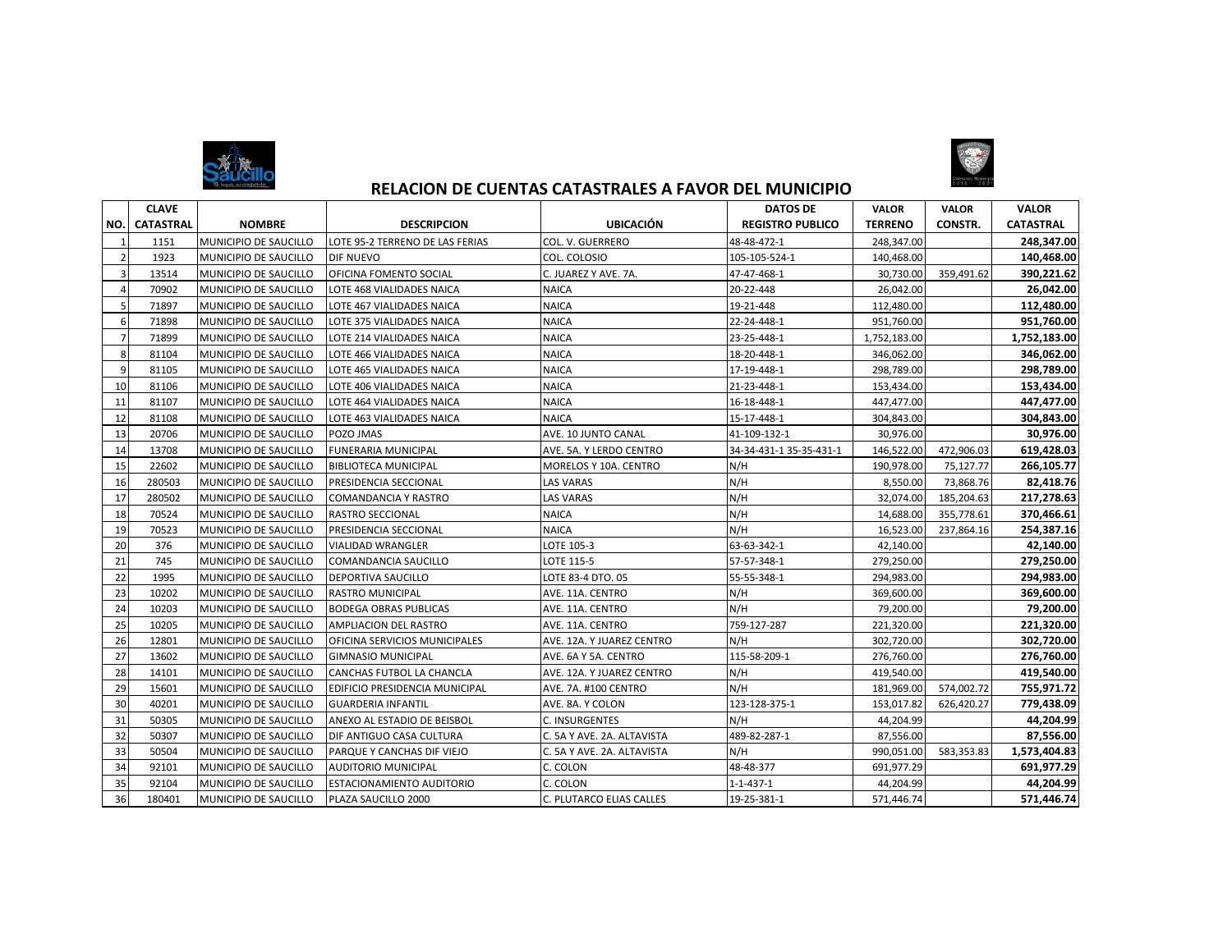



## **RELACION DE CUENTAS CATASTRALES A FAVOR DEL MUNICIPIO**

|     | <b>CLAVE</b>     |                              |                                 |                            | <b>DATOS DE</b>         | <b>VALOR</b>   | <b>VALOR</b>   | <b>VALOR</b>     |
|-----|------------------|------------------------------|---------------------------------|----------------------------|-------------------------|----------------|----------------|------------------|
| NO. | <b>CATASTRAL</b> | <b>NOMBRE</b>                | <b>DESCRIPCION</b>              | <b>UBICACIÓN</b>           | <b>REGISTRO PUBLICO</b> | <b>TERRENO</b> | <b>CONSTR.</b> | <b>CATASTRAL</b> |
|     | 1151             | MUNICIPIO DE SAUCILLO        | LOTE 95-2 TERRENO DE LAS FERIAS | COL. V. GUERRERO           | 48-48-472-1             | 248,347.00     |                | 248,347.00       |
|     | 1923             | MUNICIPIO DE SAUCILLO        | <b>DIF NUEVO</b>                | COL. COLOSIO               | 105-105-524-1           | 140,468.00     |                | 140.468.00       |
| В   | 13514            | MUNICIPIO DE SAUCILLO        | OFICINA FOMENTO SOCIAL          | C. JUAREZ Y AVE. 7A.       | 47-47-468-1             | 30,730.00      | 359,491.62     | 390,221.62       |
|     | 70902            | MUNICIPIO DE SAUCILLO        | LOTE 468 VIALIDADES NAICA       | <b>NAICA</b>               | 20-22-448               | 26,042.00      |                | 26,042.00        |
|     | 71897            | MUNICIPIO DE SAUCILLO        | LOTE 467 VIALIDADES NAICA       | <b>NAICA</b>               | 19-21-448               | 112,480.00     |                | 112,480.00       |
| 6   | 71898            | MUNICIPIO DE SAUCILLO        | LOTE 375 VIALIDADES NAICA       | <b>NAICA</b>               | 22-24-448-1             | 951,760.00     |                | 951,760.00       |
|     | 71899            | MUNICIPIO DE SAUCILLO        | LOTE 214 VIALIDADES NAICA       | <b>NAICA</b>               | 23-25-448-1             | 1.752.183.00   |                | 1,752,183.00     |
| 8   | 81104            | MUNICIPIO DE SAUCILLO        | LOTE 466 VIALIDADES NAICA       | <b>NAICA</b>               | 18-20-448-1             | 346,062.00     |                | 346,062.00       |
| q   | 81105            | MUNICIPIO DE SAUCILLO        | LOTE 465 VIALIDADES NAICA       | <b>NAICA</b>               | 17-19-448-1             | 298,789.00     |                | 298,789.00       |
| 10  | 81106            | MUNICIPIO DE SAUCILLO        | LOTE 406 VIALIDADES NAICA       | <b>NAICA</b>               | 21-23-448-1             | 153,434.00     |                | 153,434.00       |
| 11  | 81107            | MUNICIPIO DE SAUCILLO        | LOTE 464 VIALIDADES NAICA       | <b>NAICA</b>               | 16-18-448-1             | 447,477.00     |                | 447,477.00       |
| 12  | 81108            | <b>MUNICIPIO DE SAUCILLO</b> | LOTE 463 VIALIDADES NAICA       | <b>NAICA</b>               | 15-17-448-1             | 304,843.00     |                | 304.843.00       |
| 13  | 20706            | MUNICIPIO DE SAUCILLO        | POZO JMAS                       | AVE. 10 JUNTO CANAL        | 41-109-132-1            | 30,976.00      |                | 30.976.00        |
| 14  | 13708            | <b>MUNICIPIO DE SAUCILLO</b> | <b>FUNERARIA MUNICIPAL</b>      | AVE. 5A. Y LERDO CENTRO    | 34-34-431-1 35-35-431-1 | 146,522.00     | 472,906.03     | 619,428.03       |
| 15  | 22602            | MUNICIPIO DE SAUCILLO        | <b>BIBLIOTECA MUNICIPAL</b>     | MORELOS Y 10A. CENTRO      | N/H                     | 190,978.00     | 75,127.77      | 266,105.77       |
| 16  | 280503           | MUNICIPIO DE SAUCILLO        | PRESIDENCIA SECCIONAL           | LAS VARAS                  | N/H                     | 8,550.00       | 73,868.76      | 82,418.76        |
| 17  | 280502           | MUNICIPIO DE SAUCILLO        | <b>COMANDANCIA Y RASTRO</b>     | <b>LAS VARAS</b>           | N/H                     | 32,074.00      | 185,204.63     | 217.278.63       |
| 18  | 70524            | MUNICIPIO DE SAUCILLO        | <b>RASTRO SECCIONAL</b>         | <b>NAICA</b>               | N/H                     | 14,688.00      | 355,778.61     | 370,466.61       |
| 19  | 70523            | MUNICIPIO DE SAUCILLO        | PRESIDENCIA SECCIONAL           | <b>NAICA</b>               | N/H                     | 16,523.00      | 237,864.16     | 254,387.16       |
| 20  | 376              | MUNICIPIO DE SAUCILLO        | <b>VIALIDAD WRANGLER</b>        | LOTE 105-3                 | 63-63-342-1             | 42.140.00      |                | 42,140.00        |
| 21  | 745              | MUNICIPIO DE SAUCILLO        | COMANDANCIA SAUCILLO            | LOTE 115-5                 | 57-57-348-1             | 279,250.00     |                | 279,250.00       |
| 22  | 1995             | MUNICIPIO DE SAUCILLO        | <b>DEPORTIVA SAUCILLO</b>       | LOTE 83-4 DTO. 05          | 55-55-348-1             | 294,983.00     |                | 294,983.00       |
| 23  | 10202            | MUNICIPIO DE SAUCILLO        | <b>RASTRO MUNICIPAL</b>         | AVE. 11A. CENTRO           | N/H                     | 369,600.00     |                | 369,600.00       |
| 24  | 10203            | MUNICIPIO DE SAUCILLO        | <b>BODEGA OBRAS PUBLICAS</b>    | AVE. 11A. CENTRO           | N/H                     | 79,200.00      |                | 79,200.00        |
| 25  | 10205            | MUNICIPIO DE SAUCILLO        | AMPLIACION DEL RASTRO           | AVE. 11A. CENTRO           | 759-127-287             | 221.320.00     |                | 221,320.00       |
| 26  | 12801            | MUNICIPIO DE SAUCILLO        | OFICINA SERVICIOS MUNICIPALES   | AVE. 12A. Y JUAREZ CENTRO  | N/H                     | 302.720.00     |                | 302,720.00       |
| 27  | 13602            | MUNICIPIO DE SAUCILLO        | <b>GIMNASIO MUNICIPAL</b>       | AVE. 6A Y 5A. CENTRO       | 115-58-209-1            | 276,760.00     |                | 276,760.00       |
| 28  | 14101            | MUNICIPIO DE SAUCILLO        | CANCHAS FUTBOL LA CHANCLA       | AVE. 12A. Y JUAREZ CENTRO  | N/H                     | 419,540.00     |                | 419,540.00       |
| 29  | 15601            | MUNICIPIO DE SAUCILLO        | EDIFICIO PRESIDENCIA MUNICIPAL  | AVE. 7A. #100 CENTRO       | N/H                     | 181,969.00     | 574,002.72     | 755,971.72       |
| 30  | 40201            | MUNICIPIO DE SAUCILLO        | <b>GUARDERIA INFANTIL</b>       | AVE. 8A. Y COLON           | 123-128-375-1           | 153,017.82     | 626,420.27     | 779,438.09       |
| 31  | 50305            | MUNICIPIO DE SAUCILLO        | ANEXO AL ESTADIO DE BEISBOL     | <b>C. INSURGENTES</b>      | N/H                     | 44,204.99      |                | 44,204.99        |
| 32  | 50307            | MUNICIPIO DE SAUCILLO        | DIF ANTIGUO CASA CULTURA        | C. 5A Y AVE. 2A. ALTAVISTA | 489-82-287-1            | 87,556.00      |                | 87,556.00        |
| 33  | 50504            | MUNICIPIO DE SAUCILLO        | PARQUE Y CANCHAS DIF VIEJO      | C. 5A Y AVE. 2A. ALTAVISTA | N/H                     | 990.051.00     | 583,353.83     | 1,573,404.83     |
| 34  | 92101            | MUNICIPIO DE SAUCILLO        | <b>AUDITORIO MUNICIPAL</b>      | C. COLON                   | 48-48-377               | 691,977.29     |                | 691,977.29       |
| 35  | 92104            | MUNICIPIO DE SAUCILLO        | ESTACIONAMIENTO AUDITORIO       | C. COLON                   | $1 - 1 - 437 - 1$       | 44,204.99      |                | 44,204.99        |
| 36  | 180401           | <b>MUNICIPIO DE SAUCILLO</b> | PLAZA SAUCILLO 2000             | C. PLUTARCO ELIAS CALLES   | 19-25-381-1             | 571.446.74     |                | 571.446.74       |